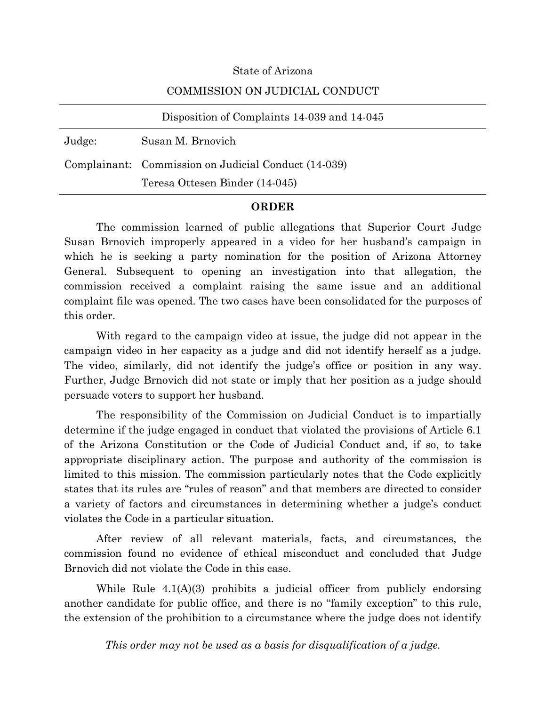#### State of Arizona

#### COMMISSION ON JUDICIAL CONDUCT

|        | Disposition of Complaints 14-039 and 14-045          |
|--------|------------------------------------------------------|
| Judge: | Susan M. Brnovich                                    |
|        | Complainant: Commission on Judicial Conduct (14-039) |
|        | Teresa Ottesen Binder (14-045)                       |

#### **ORDER**

The commission learned of public allegations that Superior Court Judge Susan Brnovich improperly appeared in a video for her husband's campaign in which he is seeking a party nomination for the position of Arizona Attorney General. Subsequent to opening an investigation into that allegation, the commission received a complaint raising the same issue and an additional complaint file was opened. The two cases have been consolidated for the purposes of this order.

With regard to the campaign video at issue, the judge did not appear in the campaign video in her capacity as a judge and did not identify herself as a judge. The video, similarly, did not identify the judge's office or position in any way. Further, Judge Brnovich did not state or imply that her position as a judge should persuade voters to support her husband.

The responsibility of the Commission on Judicial Conduct is to impartially determine if the judge engaged in conduct that violated the provisions of Article 6.1 of the Arizona Constitution or the Code of Judicial Conduct and, if so, to take appropriate disciplinary action. The purpose and authority of the commission is limited to this mission. The commission particularly notes that the Code explicitly states that its rules are "rules of reason" and that members are directed to consider a variety of factors and circumstances in determining whether a judge's conduct violates the Code in a particular situation.

After review of all relevant materials, facts, and circumstances, the commission found no evidence of ethical misconduct and concluded that Judge Brnovich did not violate the Code in this case.

While Rule  $4.1(A)(3)$  prohibits a judicial officer from publicly endorsing another candidate for public office, and there is no "family exception" to this rule, the extension of the prohibition to a circumstance where the judge does not identify

*This order may not be used as a basis for disqualification of a judge.*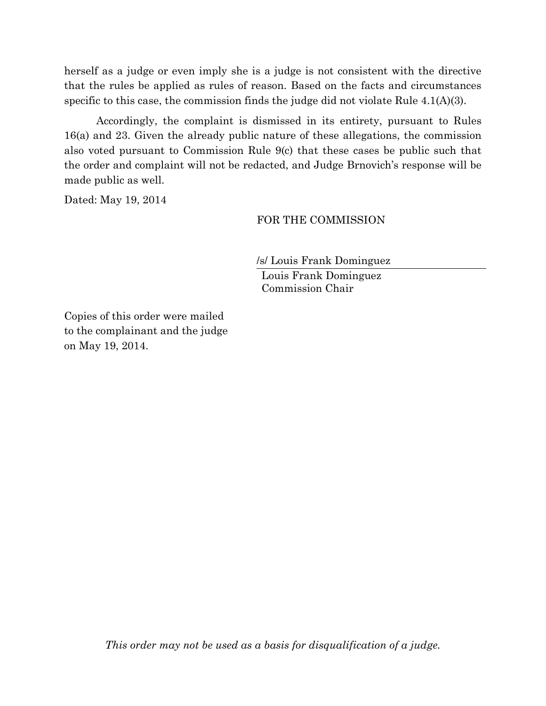herself as a judge or even imply she is a judge is not consistent with the directive that the rules be applied as rules of reason. Based on the facts and circumstances specific to this case, the commission finds the judge did not violate Rule 4.1(A)(3).

Accordingly, the complaint is dismissed in its entirety, pursuant to Rules 16(a) and 23. Given the already public nature of these allegations, the commission also voted pursuant to Commission Rule 9(c) that these cases be public such that the order and complaint will not be redacted, and Judge Brnovich's response will be made public as well.

Dated: May 19, 2014

#### FOR THE COMMISSION

/s/ Louis Frank Dominguez

Louis Frank Dominguez Commission Chair

Copies of this order were mailed to the complainant and the judge on May 19, 2014.

*This order may not be used as a basis for disqualification of a judge.*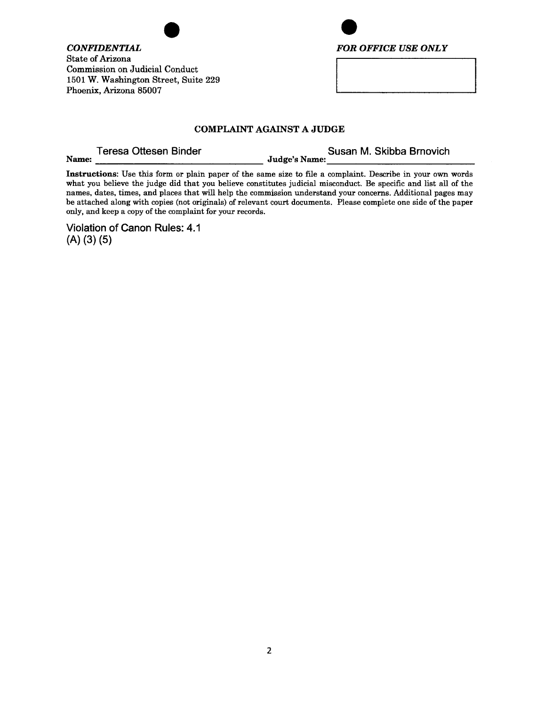**CONFIDENTIAL State of Arizona Commission on Judicial Conduct** 1501 W. Washington Street, Suite 229 Phoenix, Arizona 85007



#### **COMPLAINT AGAINST A JUDGE**

**Teresa Ottesen Binder** 

Name:

Susan M. Skibba Brnovich **Judge's Name:** 

Instructions: Use this form or plain paper of the same size to file a complaint. Describe in your own words what you believe the judge did that you believe constitutes judicial misconduct. Be specific and list all of the names, dates, times, and places that will help the commission understand your concerns. Additional pages may be attached along with copies (not originals) of relevant court documents. Please complete one side of the paper only, and keep a copy of the complaint for your records.

Violation of Canon Rules: 4.1  $(A)$   $(3)$   $(5)$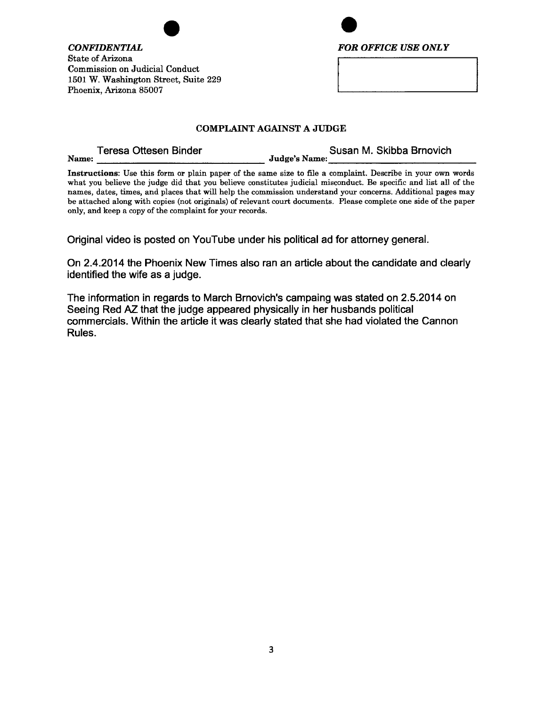



#### **COMPLAINT AGAINST A JUDGE**

**Teresa Ottesen Binder** Name:

Susan M. Skibba Brnovich **Judge's Name:** 

Instructions: Use this form or plain paper of the same size to file a complaint. Describe in your own words what you believe the judge did that you believe constitutes judicial misconduct. Be specific and list all of the names, dates, times, and places that will help the commission understand your concerns. Additional pages may be attached along with copies (not originals) of relevant court documents. Please complete one side of the paper only, and keep a copy of the complaint for your records.

Original video is posted on YouTube under his political ad for attorney general.

On 2.4.2014 the Phoenix New Times also ran an article about the candidate and clearly identified the wife as a judge.

The information in regards to March Brnovich's campaing was stated on 2.5.2014 on Seeing Red AZ that the judge appeared physically in her husbands political commercials. Within the article it was clearly stated that she had violated the Cannon Rules.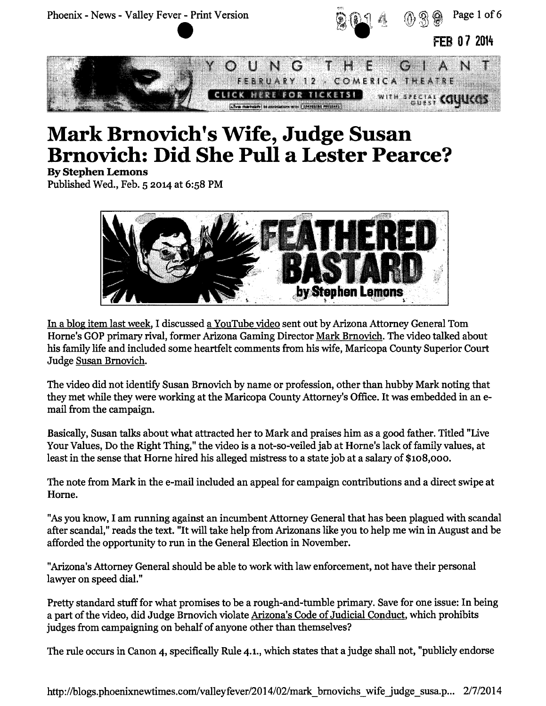

# **Mark Brnovich's Wife, Judge Susan Brnovich: Did She Pull a Lester Pearce?**

**By Stephen Lemons** 

Published Wed., Feb. 5 2014 at 6:58 PM



In a blog item last week, I discussed a YouTube video sent out by Arizona Attorney General Tom Horne's GOP primary rival, former Arizona Gaming Director Mark Brnovich. The video talked about his family life and included some heartfelt comments from his wife, Maricopa County Superior Court Judge Susan Brnovich.

The video did not identify Susan Brnovich by name or profession, other than hubby Mark noting that they met while they were working at the Maricopa County Attorney's Office. It was embedded in an email from the campaign.

Basically, Susan talks about what attracted her to Mark and praises him as a good father. Titled "Live Your Values, Do the Right Thing," the video is a not-so-veiled jab at Horne's lack of family values, at least in the sense that Horne hired his alleged mistress to a state job at a salary of \$108,000.

The note from Mark in the e-mail included an appeal for campaign contributions and a direct swipe at Horne.

"As you know, I am running against an incumbent Attorney General that has been plagued with scandal after scandal," reads the text. "It will take help from Arizonans like you to help me win in August and be afforded the opportunity to run in the General Election in November.

"Arizona's Attorney General should be able to work with law enforcement, not have their personal lawyer on speed dial."

Pretty standard stuff for what promises to be a rough-and-tumble primary. Save for one issue: In being a part of the video, did Judge Brnovich violate Arizona's Code of Judicial Conduct, which prohibits judges from campaigning on behalf of anyone other than themselves?

The rule occurs in Canon 4, specifically Rule 4.1., which states that a judge shall not, "publicly endorse"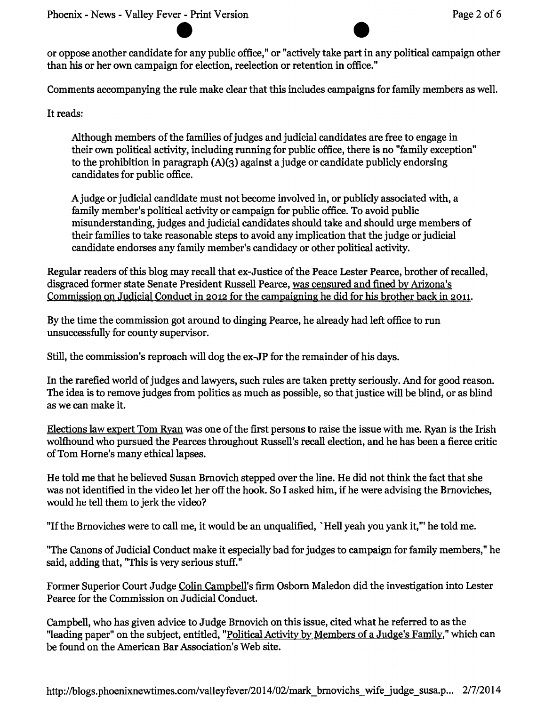or oppose another candidate for any public office," or "actively take part in any political campaign other than his or her own campaign for election, reelection or retention in office."

Comments accompanying the rule make clear that this includes campaigns for family members as well.

It reads:

Although members of the families of judges and judicial candidates are free to engage in their own political activity, including running for public office, there is no "family exception" to the prohibition in paragraph  $(A)(3)$  against a judge or candidate publicly endorsing candidates for public office.

A judge or judicial candidate must not become involved in, or publicly associated with, a family member's political activity or campaign for public office. To avoid public misunderstanding, judges and judicial candidates should take and should urge members of their families to take reasonable steps to avoid any implication that the judge or judicial candidate endorses any family member's candidacy or other political activity.

Regular readers of this blog may recall that ex-Justice of the Peace Lester Pearce, brother of recalled, disgraced former state Senate President Russell Pearce, was censured and fined by Arizona's Commission on Judicial Conduct in 2012 for the campaigning he did for his brother back in 2011.

By the time the commission got around to dinging Pearce, he already had left office to run unsuccessfully for county supervisor.

Still, the commission's reproach will dog the ex-JP for the remainder of his days.

In the rarefied world of judges and lawyers, such rules are taken pretty seriously. And for good reason. The idea is to remove judges from politics as much as possible, so that justice will be blind, or as blind as we can make it.

Elections law expert Tom Ryan was one of the first persons to raise the issue with me. Ryan is the Irish wolfhound who pursued the Pearces throughout Russell's recall election, and he has been a fierce critic of Tom Horne's many ethical lapses.

He told me that he believed Susan Brnovich stepped over the line. He did not think the fact that she was not identified in the video let her off the hook. So I asked him, if he were advising the Brnoviches, would he tell them to jerk the video?

"If the Brnoviches were to call me, it would be an unqualified, `Hell yeah you yank it,"' he told me.

"The Canons of Judicial Conduct make it especially bad for judges to campaign for family members," he said, adding that, "This is very serious stuff."

Former Superior Court Judge Colin Campbell's firm Osborn Maledon did the investigation into Lester Pearce for the Commission on Judicial Conduct.

Campbell, who has given advice to Judge Brnovich on this issue, cited what he referred to as the "leading paper" on the subject, entitled, "Political Activity by Members of a Judge's Family," which can be found on the American Bar Association's Web site.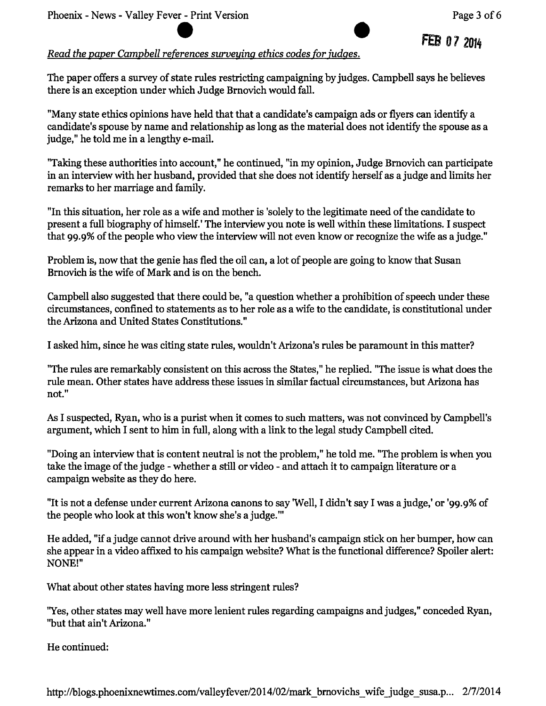## FEB 07 2014

#### Read the paper Campbell references surveying ethics codes for judges.

The paper offers a survey of state rules restricting campaigning by judges. Campbell says he believes there is an exception under which Judge Brnovich would fall.

"Many state ethics opinions have held that that a candidate's campaign ads or flyers can identify a candidate's spouse by name and relationship as long as the material does not identify the spouse as a judge," he told me in a lengthy e-mail.

"Taking these authorities into account," he continued, "in my opinion, Judge Brnovich can participate in an interview with her husband, provided that she does not identify herself as a judge and limits her remarks to her marriage and family.

"In this situation, her role as a wife and mother is 'solely to the legitimate need of the candidate to present a full biography of himself.' The interview you note is well within these limitations. I suspect that 99.9% of the people who view the interview will not even know or recognize the wife as a judge."

Problem is, now that the genie has fled the oil can, a lot of people are going to know that Susan Brnovich is the wife of Mark and is on the bench.

Campbell also suggested that there could be, "a question whether a prohibition of speech under these circumstances, confined to statements as to her role as a wife to the candidate, is constitutional under the Arizona and United States Constitutions."

I asked him, since he was citing state rules, wouldn't Arizona's rules be paramount in this matter?

"The rules are remarkably consistent on this across the States," he replied. "The issue is what does the rule mean. Other states have address these issues in similar factual circumstances, but Arizona has  $not."$ 

As I suspected, Ryan, who is a purist when it comes to such matters, was not convinced by Campbell's argument, which I sent to him in full, along with a link to the legal study Campbell cited.

"Doing an interview that is content neutral is not the problem," he told me. "The problem is when you take the image of the judge - whether a still or video - and attach it to campaign literature or a campaign website as they do here.

"It is not a defense under current Arizona canons to say 'Well, I didn't say I was a judge,' or '99.9% of the people who look at this won't know she's a judge.""

He added, "if a judge cannot drive around with her husband's campaign stick on her bumper, how can she appear in a video affixed to his campaign website? What is the functional difference? Spoiler alert: NONE!"

What about other states having more less stringent rules?

"Yes, other states may well have more lenient rules regarding campaigns and judges," conceded Ryan, "but that ain't Arizona."

He continued: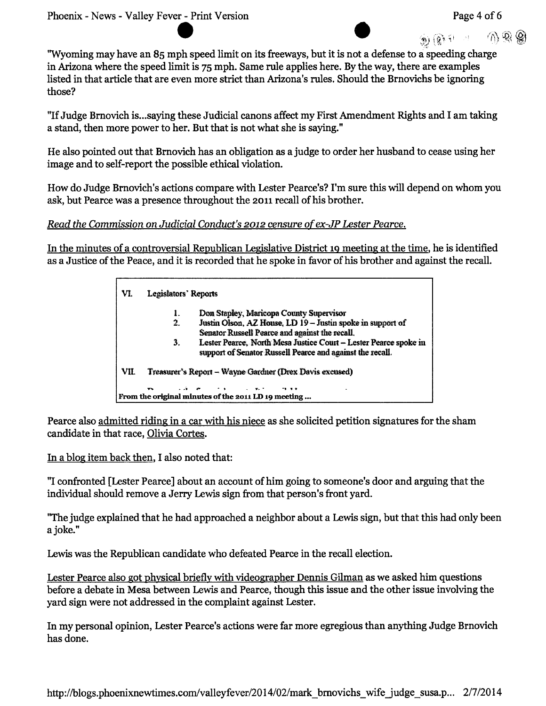(n) (@) <sup>()</sup> (1)

"Wyoming may have an 85 mph speed limit on its freeways, but it is not a defense to a speeding charge in Arizona where the speed limit is 75 mph. Same rule applies here. By the way, there are examples listed in that article that are even more strict than Arizona's rules. Should the Brnovichs be ignoring those?

"If Judge Brnovich is...saying these Judicial canons affect my First Amendment Rights and I am taking a stand, then more power to her. But that is not what she is saying."

He also pointed out that Brnovich has an obligation as a judge to order her husband to cease using her image and to self-report the possible ethical violation.

How do Judge Brnovich's actions compare with Lester Pearce's? I'm sure this will depend on whom you ask, but Pearce was a presence throughout the 2011 recall of his brother.

#### Read the Commission on Judicial Conduct's 2012 censure of ex-JP Lester Pearce.

In the minutes of a controversial Republican Legislative District 19 meeting at the time, he is identified as a Justice of the Peace, and it is recorded that he spoke in favor of his brother and against the recall.

|      | 1. | Don Stapley, Maricopa County Supervisor                                                                                       |
|------|----|-------------------------------------------------------------------------------------------------------------------------------|
|      | 2. | Justin Olson, AZ House, LD 19 - Justin spoke in support of                                                                    |
|      |    | Senator Russell Pearce and against the recall.                                                                                |
|      | 3. | Lester Pearce, North Mesa Justice Court - Lester Pearce spoke in<br>support of Senator Russell Pearce and against the recall. |
| VII. |    | Treasurer's Report – Wayne Gardner (Drex Davis excused)                                                                       |

Pearce also admitted riding in a car with his niece as she solicited petition signatures for the sham candidate in that race, Olivia Cortes.

In a blog item back then, I also noted that:

"I confronted [Lester Pearce] about an account of him going to someone's door and arguing that the individual should remove a Jerry Lewis sign from that person's front yard.

"The judge explained that he had approached a neighbor about a Lewis sign, but that this had only been a joke."

Lewis was the Republican candidate who defeated Pearce in the recall election.

Lester Pearce also got physical briefly with videographer Dennis Gilman as we asked him questions before a debate in Mesa between Lewis and Pearce, though this issue and the other issue involving the vard sign were not addressed in the complaint against Lester.

In my personal opinion, Lester Pearce's actions were far more egregious than anything Judge Brnovich has done.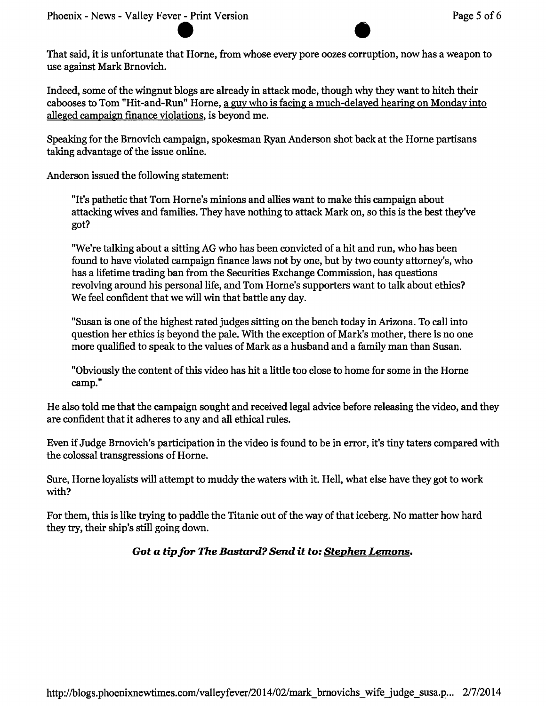That said, it is unfortunate that Horne, from whose every pore oozes corruption, now has a weapon to use against Mark Brnovich.

Indeed, some of the wingnut blogs are already in attack mode, though why they want to hitch their cabooses to Tom "Hit-and-Run" Horne, a guy who is facing a much-delayed hearing on Monday into alleged campaign finance violations, is beyond me.

Speaking for the Brnovich campaign, spokesman Ryan Anderson shot back at the Horne partisans taking advantage of the issue online.

Anderson issued the following statement:

"It's pathetic that Tom Horne's minions and allies want to make this campaign about attacking wives and families. They have nothing to attack Mark on, so this is the best they've got?

"We're talking about a sitting AG who has been convicted of a hit and run, who has been found to have violated campaign finance laws not by one, but by two county attorney's, who has a lifetime trading ban from the Securities Exchange Commission, has questions revolving around his personal life, and Tom Horne's supporters want to talk about ethics? We feel confident that we will win that battle any day.

"Susan is one of the highest rated judges sitting on the bench today in Arizona. To call into question her ethics is beyond the pale. With the exception of Mark's mother, there is no one more qualified to speak to the values of Mark as a husband and a family man than Susan.

"Obviously the content of this video has hit a little too close to home for some in the Horne camp."

He also told me that the campaign sought and received legal advice before releasing the video, and they are confident that it adheres to any and all ethical rules.

Even if Judge Brnovich's participation in the video is found to be in error, it's tiny taters compared with the colossal transgressions of Horne.

Sure, Horne loyalists will attempt to muddy the waters with it. Hell, what else have they got to work with?

For them, this is like trying to paddle the Titanic out of the way of that iceberg. No matter how hard they try, their ship's still going down.

### Got a tip for The Bastard? Send it to: Stephen Lemons.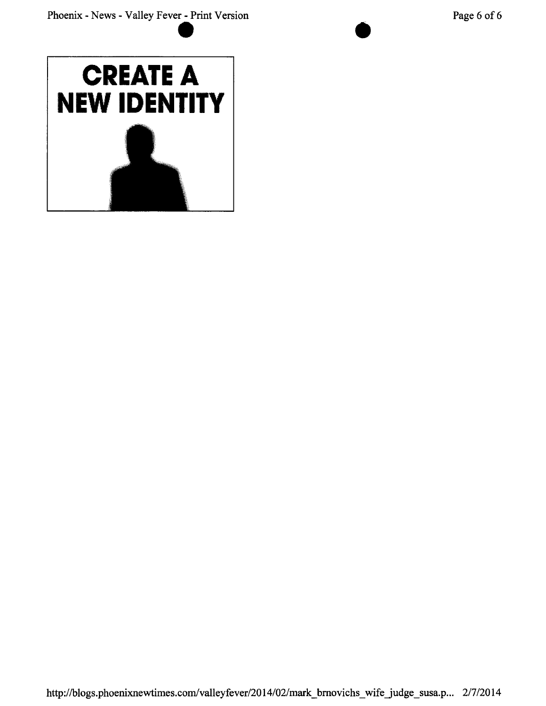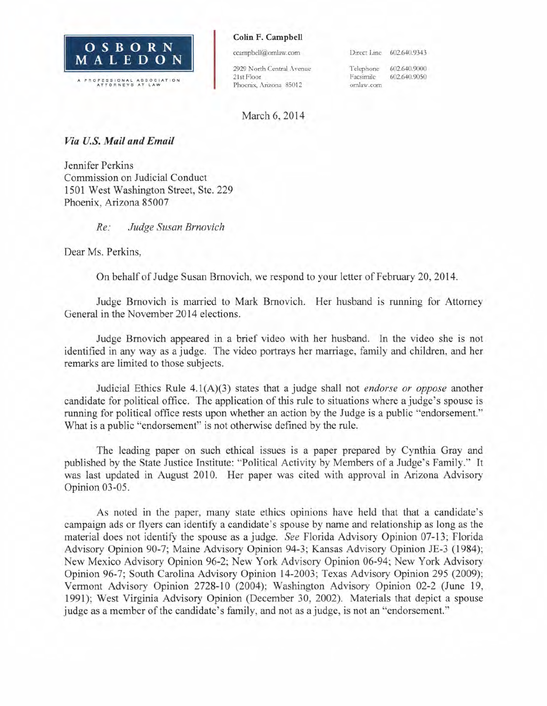

#### Colin F. Campbell

ccampbell@omlaw.com

2929 North Central Avenue 21st Floor Phoenix, Arizona 85012

Direct Line 602.640.9343

602.640.9000 Telephone 602.640.9050 Facsimile omlaw.com

#### March 6, 2014

#### Via U.S. Mail and Email

Jennifer Perkins Commission on Judicial Conduct 1501 West Washington Street, Ste. 229 Phoenix, Arizona 85007

#### $Re:$ Judge Susan Brnovich

Dear Ms. Perkins.

On behalf of Judge Susan Brnovich, we respond to your letter of February 20, 2014.

Judge Brnovich is married to Mark Brnovich. Her husband is running for Attorney General in the November 2014 elections.

Judge Brnovich appeared in a brief video with her husband. In the video she is not identified in any way as a judge. The video portrays her marriage, family and children, and her remarks are limited to those subjects.

Judicial Ethics Rule  $4.1(A)(3)$  states that a judge shall not *endorse or oppose* another candidate for political office. The application of this rule to situations where a judge's spouse is running for political office rests upon whether an action by the Judge is a public "endorsement." What is a public "endorsement" is not otherwise defined by the rule.

The leading paper on such ethical issues is a paper prepared by Cynthia Gray and published by the State Justice Institute: "Political Activity by Members of a Judge's Family." It was last updated in August 2010. Her paper was cited with approval in Arizona Advisory Opinion 03-05.

As noted in the paper, many state ethics opinions have held that that a candidate's campaign ads or flyers can identify a candidate's spouse by name and relationship as long as the material does not identify the spouse as a judge. See Florida Advisory Opinion 07-13; Florida Advisory Opinion 90-7; Maine Advisory Opinion 94-3; Kansas Advisory Opinion JE-3 (1984): New Mexico Advisory Opinion 96-2; New York Advisory Opinion 06-94; New York Advisory Opinion 96-7; South Carolina Advisory Opinion 14-2003; Texas Advisory Opinion 295 (2009); Vermont Advisory Opinion 2728-10 (2004); Washington Advisory Opinion 02-2 (June 19, 1991): West Virginia Advisory Opinion (December 30, 2002). Materials that depict a spouse judge as a member of the candidate's family, and not as a judge, is not an "endorsement."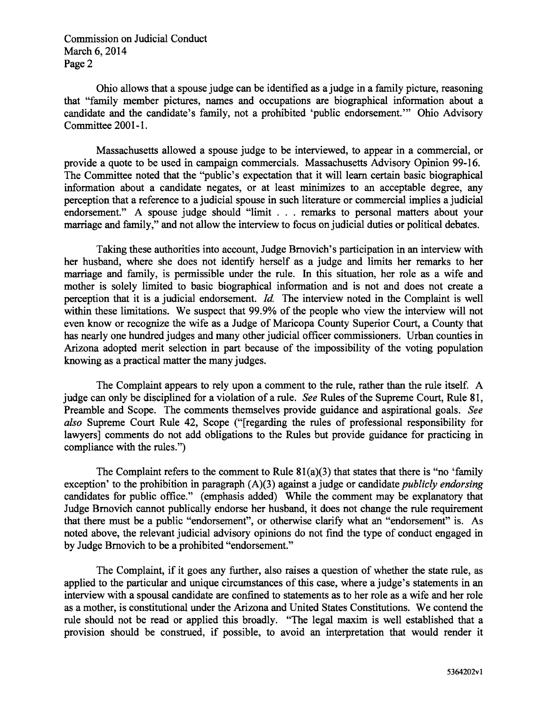**Commission on Judicial Conduct** March 6, 2014 Page 2

Ohio allows that a spouse judge can be identified as a judge in a family picture, reasoning that "family member pictures, names and occupations are biographical information about a candidate and the candidate's family, not a prohibited 'public endorsement.'" Ohio Advisory Committee 2001-1.

Massachusetts allowed a spouse judge to be interviewed, to appear in a commercial, or provide a quote to be used in campaign commercials. Massachusetts Advisory Opinion 99-16. The Committee noted that the "public's expectation that it will learn certain basic biographical information about a candidate negates, or at least minimizes to an acceptable degree, any perception that a reference to a judicial spouse in such literature or commercial implies a judicial endorsement." A spouse judge should "limit . . . remarks to personal matters about your marriage and family," and not allow the interview to focus on judicial duties or political debates.

Taking these authorities into account. Judge Brnovich's participation in an interview with her husband, where she does not identify herself as a judge and limits her remarks to her marriage and family, is permissible under the rule. In this situation, her role as a wife and mother is solely limited to basic biographical information and is not and does not create a perception that it is a judicial endorsement. *Id.* The interview noted in the Complaint is well within these limitations. We suspect that 99.9% of the people who view the interview will not even know or recognize the wife as a Judge of Maricopa County Superior Court, a County that has nearly one hundred judges and many other judicial officer commissioners. Urban counties in Arizona adopted merit selection in part because of the impossibility of the voting population knowing as a practical matter the many judges.

The Complaint appears to rely upon a comment to the rule, rather than the rule itself. A judge can only be disciplined for a violation of a rule. See Rules of the Supreme Court, Rule 81, Preamble and Scope. The comments themselves provide guidance and aspirational goals. See also Supreme Court Rule 42, Scope ("[regarding the rules of professional responsibility for lawyers] comments do not add obligations to the Rules but provide guidance for practicing in compliance with the rules.")

The Complaint refers to the comment to Rule  $81(a)(3)$  that states that there is "no 'family" exception' to the prohibition in paragraph  $(A)(3)$  against a judge or candidate *publicly endorsing* candidates for public office." (emphasis added) While the comment may be explanatory that Judge Brnovich cannot publically endorse her husband, it does not change the rule requirement that there must be a public "endorsement", or otherwise clarify what an "endorsement" is. As noted above, the relevant judicial advisory opinions do not find the type of conduct engaged in by Judge Brnovich to be a prohibited "endorsement."

The Complaint, if it goes any further, also raises a question of whether the state rule, as applied to the particular and unique circumstances of this case, where a judge's statements in an interview with a spousal candidate are confined to statements as to her role as a wife and her role as a mother, is constitutional under the Arizona and United States Constitutions. We contend the rule should not be read or applied this broadly. "The legal maxim is well established that a provision should be construed, if possible, to avoid an interpretation that would render it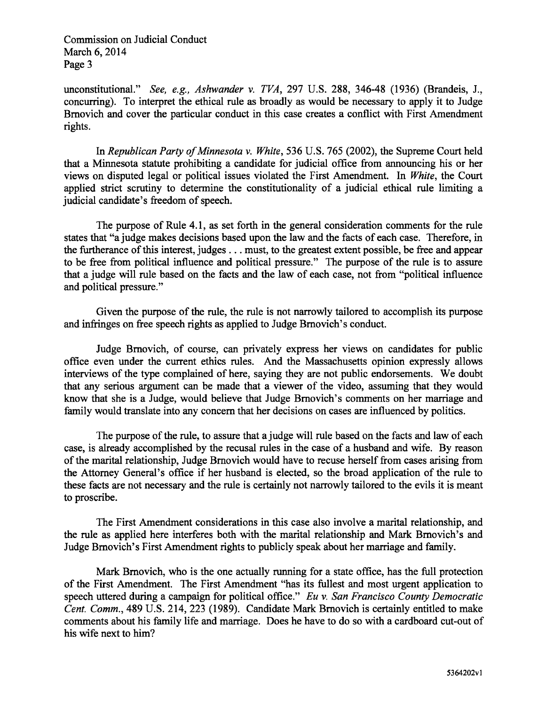**Commission on Judicial Conduct** March 6, 2014 Page 3

unconstitutional." See, e.g., Ashwander v. TVA, 297 U.S. 288, 346-48 (1936) (Brandeis, J., concurring). To interpret the ethical rule as broadly as would be necessary to apply it to Judge Brnovich and cover the particular conduct in this case creates a conflict with First Amendment rights.

In Republican Party of Minnesota v. White, 536 U.S. 765 (2002), the Supreme Court held that a Minnesota statute prohibiting a candidate for judicial office from announcing his or her views on disputed legal or political issues violated the First Amendment. In White, the Court applied strict scrutiny to determine the constitutionality of a judicial ethical rule limiting a judicial candidate's freedom of speech.

The purpose of Rule 4.1, as set forth in the general consideration comments for the rule states that "a judge makes decisions based upon the law and the facts of each case. Therefore, in the furtherance of this interest, judges . . . must, to the greatest extent possible, be free and appear to be free from political influence and political pressure." The purpose of the rule is to assure that a judge will rule based on the facts and the law of each case, not from "political influence and political pressure."

Given the purpose of the rule, the rule is not narrowly tailored to accomplish its purpose and infringes on free speech rights as applied to Judge Brnovich's conduct.

Judge Brnovich, of course, can privately express her views on candidates for public office even under the current ethics rules. And the Massachusetts opinion expressly allows interviews of the type complained of here, saving they are not public endorsements. We doubt that any serious argument can be made that a viewer of the video, assuming that they would know that she is a Judge, would believe that Judge Brnovich's comments on her marriage and family would translate into any concern that her decisions on cases are influenced by politics.

The purpose of the rule, to assure that a judge will rule based on the facts and law of each case, is already accomplished by the recusal rules in the case of a husband and wife. By reason of the marital relationship, Judge Brnovich would have to recuse herself from cases arising from the Attorney General's office if her husband is elected, so the broad application of the rule to these facts are not necessary and the rule is certainly not narrowly tailored to the evils it is meant to proscribe.

The First Amendment considerations in this case also involve a marital relationship, and the rule as applied here interferes both with the marital relationship and Mark Brnovich's and Judge Brnovich's First Amendment rights to publicly speak about her marriage and family.

Mark Brnovich, who is the one actually running for a state office, has the full protection of the First Amendment. The First Amendment "has its fullest and most urgent application to speech uttered during a campaign for political office." Eu v. San Francisco County Democratic Cent. Comm., 489 U.S. 214, 223 (1989). Candidate Mark Brnovich is certainly entitled to make comments about his family life and marriage. Does he have to do so with a cardboard cut-out of his wife next to him?